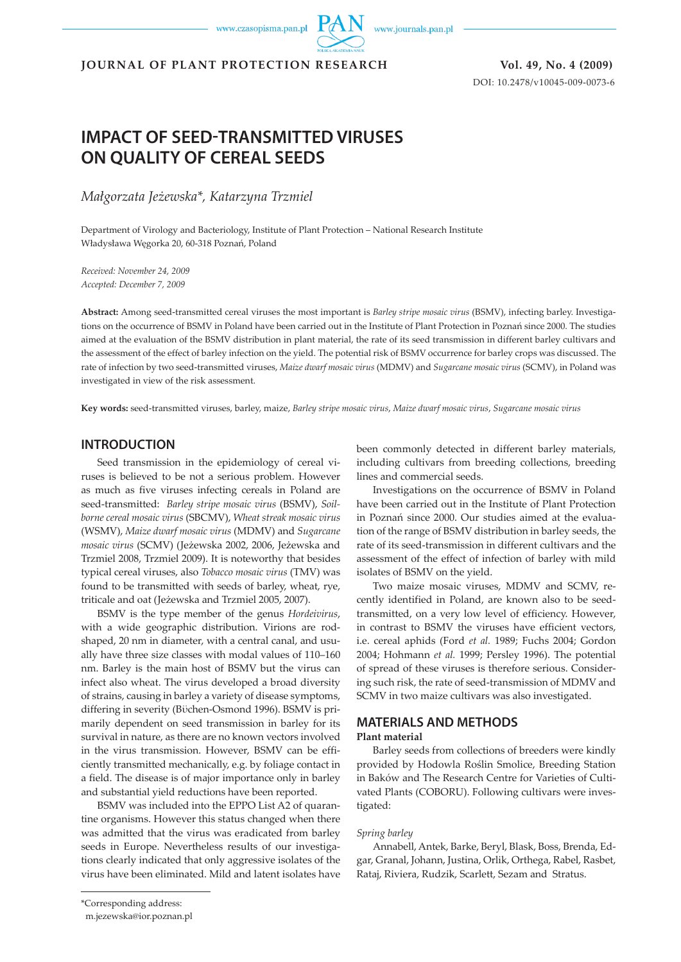www.czasopisma.pan.pl



**JOURNAL OF PLANT PROTECTION RESEARCH Vol. 49, No. 4 (2009)**

DOI: 10.2478/v10045-009-0073-6

# **IMPACT OF SEED-TRANSMITTED VIRUSES ON QUALITY OF CEREAL SEEDS**

*Małgorzata Jeżewska\*, Katarzyna Trzmiel*

Department of Virology and Bacteriology, Institute of Plant Protection – National Research Institute Władysława Węgorka 20, 60-318 Poznań, Poland

*Received: November 24, 2009 Accepted: December 7, 2009*

**Abstract:** Among seed-transmitted cereal viruses the most important is *Barley stripe mosaic virus* (BSMV), infecting barley. Investigations on the occurrence of BSMV in Poland have been carried out in the Institute of Plant Protection in Poznań since 2000. The studies aimed at the evaluation of the BSMV distribution in plant material, the rate of its seed transmission in different barley cultivars and the assessment of the effect of barley infection on the yield. The potential risk of BSMV occurrence for barley crops was discussed. The rate of infection by two seed-transmitted viruses, *Maize dwarf mosaic virus* (MDMV) and *Sugarcane mosaic virus* (SCMV), in Poland was investigated in view of the risk assessment.

**Key words:** seed-transmitted viruses, barley, maize, *Barley stripe mosaic virus*, *Maize dwarf mosaic virus*, *Sugarcane mosaic virus*

#### **INTRODUCTION**

Seed transmission in the epidemiology of cereal viruses is believed to be not a serious problem. However as much as five viruses infecting cereals in Poland are seed-transmitted: *Barley stripe mosaic virus* (BSMV), *Soilborne cereal mosaic virus* (SBCMV), *Wheat streak mosaic virus* (WSMV), *Maize dwarf mosaic virus* (MDMV) and *Sugarcane mosaic virus* (SCMV) (Jeżewska 2002, 2006, Jeżewska and Trzmiel 2008, Trzmiel 2009). It is noteworthy that besides typical cereal viruses, also *Tobacco mosaic virus* (TMV) was found to be transmitted with seeds of barley, wheat, rye, triticale and oat (Jeżewska and Trzmiel 2005, 2007).

BSMV is the type member of the genus *Hordeivirus*, with a wide geographic distribution. Virions are rodshaped, 20 nm in diameter, with a central canal, and usually have three size classes with modal values of 110–160 nm. Barley is the main host of BSMV but the virus can infect also wheat. The virus developed a broad diversity of strains, causing in barley a variety of disease symptoms, differing in severity (Bϋchen-Osmond 1996). BSMV is primarily dependent on seed transmission in barley for its survival in nature, as there are no known vectors involved in the virus transmission. However, BSMV can be efficiently transmitted mechanically, e.g. by foliage contact in a field. The disease is of major importance only in barley and substantial yield reductions have been reported.

BSMV was included into the EPPO List A2 of quarantine organisms. However this status changed when there was admitted that the virus was eradicated from barley seeds in Europe. Nevertheless results of our investigations clearly indicated that only aggressive isolates of the virus have been eliminated. Mild and latent isolates have been commonly detected in different barley materials, including cultivars from breeding collections, breeding lines and commercial seeds.

Investigations on the occurrence of BSMV in Poland have been carried out in the Institute of Plant Protection in Poznań since 2000. Our studies aimed at the evaluation of the range of BSMV distribution in barley seeds, the rate of its seed-transmission in different cultivars and the assessment of the effect of infection of barley with mild isolates of BSMV on the yield.

Two maize mosaic viruses, MDMV and SCMV, recently identified in Poland, are known also to be seedtransmitted, on a very low level of efficiency. However, in contrast to BSMV the viruses have efficient vectors, i.e. cereal aphids (Ford *et al.* 1989; Fuchs 2004; Gordon 2004; Hohmann *et al.* 1999; Persley 1996). The potential of spread of these viruses is therefore serious. Considering such risk, the rate of seed-transmission of MDMV and SCMV in two maize cultivars was also investigated.

# **MATERIALS AND METHODS**

#### **Plant material**

Barley seeds from collections of breeders were kindly provided by Hodowla Roślin Smolice, Breeding Station in Baków and The Research Centre for Varieties of Cultivated Plants (COBORU). Following cultivars were investigated:

#### *Spring barley*

Annabell, Antek, Barke, Beryl, Blask, Boss, Brenda, Edgar, Granal, Johann, Justina, Orlik, Orthega, Rabel, Rasbet, Rataj, Riviera, Rudzik, Scarlett, Sezam and Stratus.

m.jezewska@ior.poznan.pl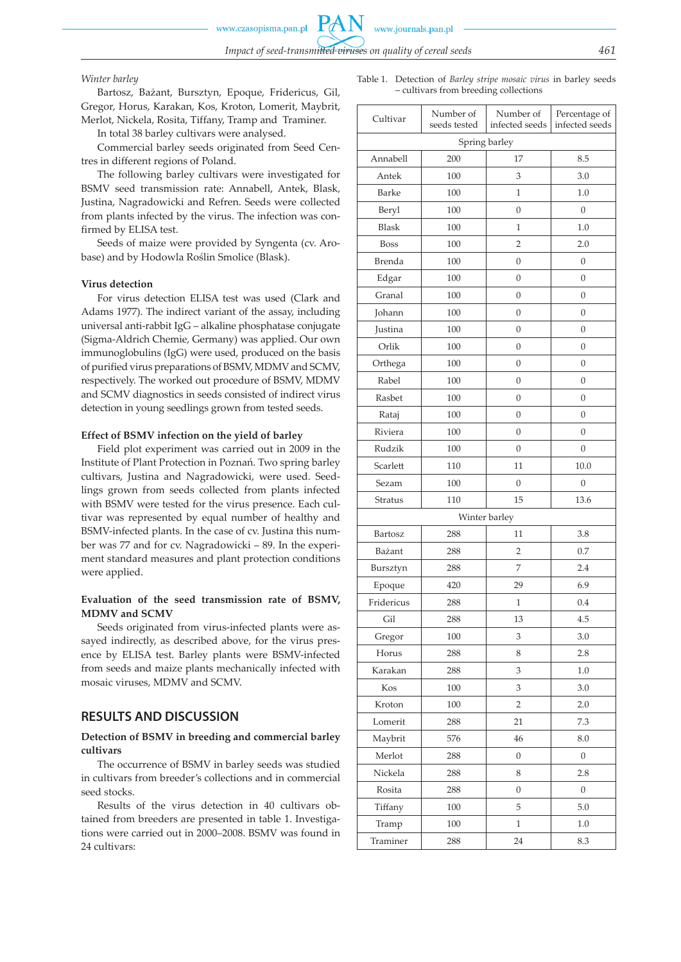#### *Winter barley*

Bartosz, Bażant, Bursztyn, Epoque, Fridericus, Gil, Gregor, Horus, Karakan, Kos, Kroton, Lomerit, Maybrit, Merlot, Nickela, Rosita, Tiffany, Tramp and Traminer.

In total 38 barley cultivars were analysed.

Commercial barley seeds originated from Seed Centres in different regions of Poland.

The following barley cultivars were investigated for BSMV seed transmission rate: Annabell, Antek, Blask, Justina, Nagradowicki and Refren. Seeds were collected from plants infected by the virus. The infection was confirmed by ELISA test.

Seeds of maize were provided by Syngenta (cv. Arobase) and by Hodowla Roślin Smolice (Blask).

#### **Virus detection**

For virus detection ELISA test was used (Clark and Adams 1977). The indirect variant of the assay, including universal anti-rabbit IgG – alkaline phosphatase conjugate (Sigma-Aldrich Chemie, Germany) was applied. Our own immunoglobulins (IgG) were used, produced on the basis of purified virus preparations of BSMV, MDMV and SCMV, respectively. The worked out procedure of BSMV, MDMV and SCMV diagnostics in seeds consisted of indirect virus detection in young seedlings grown from tested seeds.

#### **Effect of BSMV infection on the yield of barley**

Field plot experiment was carried out in 2009 in the Institute of Plant Protection in Poznań. Two spring barley cultivars, Justina and Nagradowicki, were used. Seedlings grown from seeds collected from plants infected with BSMV were tested for the virus presence. Each cultivar was represented by equal number of healthy and BSMV-infected plants. In the case of cv. Justina this number was 77 and for cv. Nagradowicki – 89. In the experiment standard measures and plant protection conditions were applied.

### **Evaluation of the seed transmission rate of BSMV, MDMV and SCMV**

Seeds originated from virus-infected plants were assayed indirectly, as described above, for the virus presence by ELISA test. Barley plants were BSMV-infected from seeds and maize plants mechanically infected with mosaic viruses, MDMV and SCMV.

### **RESULTS AND DISCUSSION**

#### **Detection of BSMV in breeding and commercial barley cultivars**

The occurrence of BSMV in barley seeds was studied in cultivars from breeder's collections and in commercial seed stocks.

Results of the virus detection in 40 cultivars obtained from breeders are presented in table 1. Investigations were carried out in 2000–2008. BSMV was found in 24 cultivars:

| Cultivar        | Number of<br>seeds tested       |                  | Percentage of<br>infected seeds |  |  |
|-----------------|---------------------------------|------------------|---------------------------------|--|--|
|                 | infected seeds<br>Spring barley |                  |                                 |  |  |
| Annabell<br>200 |                                 | 17               | 8.5                             |  |  |
| Antek           | 100                             | 3                | 3.0                             |  |  |
| Barke<br>100    |                                 | $\mathbf{1}$     | 1.0                             |  |  |
| Beryl           | 100                             | 0                | $\boldsymbol{0}$                |  |  |
| <b>Blask</b>    | 100                             | $\mathbf{1}$     | 1.0                             |  |  |
| <b>Boss</b>     | 100                             | $\overline{2}$   | 2.0                             |  |  |
| <b>Brenda</b>   | 100                             | $\boldsymbol{0}$ | $\boldsymbol{0}$                |  |  |
| Edgar           | 100                             | $\overline{0}$   | $\overline{0}$                  |  |  |
| Granal          | 100                             | $\boldsymbol{0}$ | $\boldsymbol{0}$                |  |  |
| Johann          | 100                             | $\overline{0}$   | $\boldsymbol{0}$                |  |  |
| Justina         | 100                             | $\boldsymbol{0}$ | $\boldsymbol{0}$                |  |  |
| Orlik           | 100                             | 0                | $\overline{0}$                  |  |  |
| Orthega         | 100                             | 0                | $\boldsymbol{0}$                |  |  |
| Rabel           | 100                             | $\boldsymbol{0}$ | $\boldsymbol{0}$                |  |  |
| Rasbet          | 100                             | $\boldsymbol{0}$ | $\boldsymbol{0}$                |  |  |
| Rataj           | 100                             | 0                | $\boldsymbol{0}$                |  |  |
| Riviera         | 100                             |                  | $\boldsymbol{0}$                |  |  |
| Rudzik          | 100                             |                  | $\boldsymbol{0}$                |  |  |
| Scarlett        | 110                             |                  | 10.0                            |  |  |
| Sezam           | 100                             | $\overline{0}$   | $\boldsymbol{0}$                |  |  |
| Stratus         | 110                             | 15               | 13.6                            |  |  |
|                 |                                 | Winter barley    |                                 |  |  |
| Bartosz         | 288                             | 11               | 3.8                             |  |  |
| Bażant          | 288                             | $\overline{2}$   | 0.7                             |  |  |
| Bursztyn        | 288                             | 7                | 2.4                             |  |  |
| Epoque          | 420                             | 29               | 6.9                             |  |  |
| Fridericus      | 288                             | 1                | 0.4                             |  |  |
| Gil             | 288                             | 13               | 4.5                             |  |  |
| Gregor          | 100                             |                  | 3.0                             |  |  |
| Horus           | 288                             | 8                | 2.8                             |  |  |
| Karakan         | 288                             | 3                | 1.0                             |  |  |
| Kos             | 100                             | 3                | 3.0                             |  |  |
| Kroton          | 100                             |                  | 2.0                             |  |  |
| Lomerit         | 288                             | 21               | 7.3                             |  |  |
| Maybrit         | 576                             |                  | 8.0                             |  |  |
| Merlot          | 288                             | $\boldsymbol{0}$ | $\boldsymbol{0}$                |  |  |
| Nickela         | 288                             | 8                | 2.8                             |  |  |
| Rosita          | 288                             | $\boldsymbol{0}$ | $\boldsymbol{0}$                |  |  |
| Tiffany         | 100                             | 5                | 5.0                             |  |  |
| Tramp           | 100                             | $\mathbf{1}$     | $1.0\,$                         |  |  |
| Traminer        | 288                             | 24               | 8.3                             |  |  |

Table 1. Detection of *Barley stripe mosaic virus* in barley seeds – cultivars from breeding collections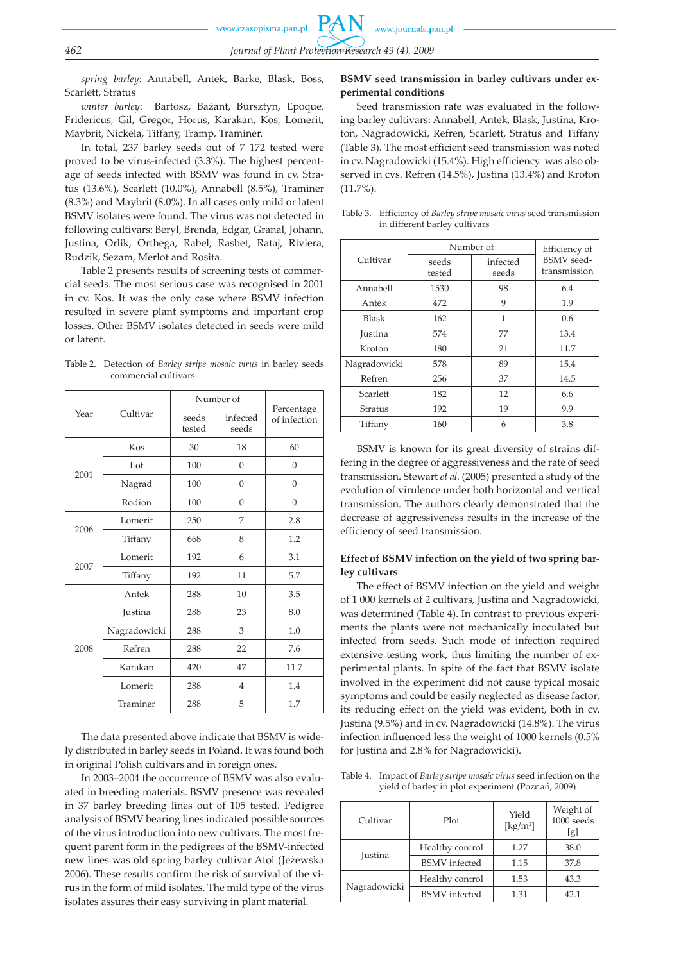*spring barley*: Annabell, Antek, Barke, Blask, Boss, Scarlett, Stratus

*winter barley*: Bartosz, Bażant, Bursztyn, Epoque, Fridericus, Gil, Gregor, Horus, Karakan, Kos, Lomerit, Maybrit, Nickela, Tiffany, Tramp, Traminer.

In total, 237 barley seeds out of 7 172 tested were proved to be virus-infected (3.3%). The highest percentage of seeds infected with BSMV was found in cv. Stratus (13.6%), Scarlett (10.0%), Annabell (8.5%), Traminer (8.3%) and Maybrit (8.0%). In all cases only mild or latent BSMV isolates were found. The virus was not detected in following cultivars: Beryl, Brenda, Edgar, Granal, Johann, Justina, Orlik, Orthega, Rabel, Rasbet, Rataj, Riviera, Rudzik, Sezam, Merlot and Rosita.

Table 2 presents results of screening tests of commercial seeds. The most serious case was recognised in 2001 in cv. Kos. It was the only case where BSMV infection resulted in severe plant symptoms and important crop losses. Other BSMV isolates detected in seeds were mild or latent.

Table 2. Detection of *Barley stripe mosaic virus* in barley seeds – commercial cultivars

| Year | Cultivar     | Number of       |                   |                            |
|------|--------------|-----------------|-------------------|----------------------------|
|      |              | seeds<br>tested | infected<br>seeds | Percentage<br>of infection |
|      | Kos          | 30              | 18                | 60                         |
|      | Lot          | 100             | $\overline{0}$    | $\theta$                   |
| 2001 | Nagrad       | 100             | $\overline{0}$    | $\mathbf{0}$               |
|      | Rodion       | 100             | $\overline{0}$    | $\mathbf{0}$               |
| 2006 | Lomerit      | 250             | 7                 | 2.8                        |
|      | Tiffany      | 668             | 8                 | 1.2                        |
| 2007 | Lomerit      | 192             | 6                 | 3.1                        |
|      | Tiffany      | 192             | 11                | 5.7                        |
|      | Antek        | 288             | 10                | 3.5                        |
| 2008 | Justina      | 288             | 23                | 8.0                        |
|      | Nagradowicki | 288             | 3                 | 1.0                        |
|      | Refren       | 288             | 22                | 7.6                        |
|      | Karakan      | 420             | 47                | 11.7                       |
|      | Lomerit      | 288             | $\overline{4}$    | 1.4                        |
|      | Traminer     | 288             | 5                 | 1.7                        |

The data presented above indicate that BSMV is widely distributed in barley seeds in Poland. It was found both in original Polish cultivars and in foreign ones.

In 2003–2004 the occurrence of BSMV was also evaluated in breeding materials. BSMV presence was revealed in 37 barley breeding lines out of 105 tested. Pedigree analysis of BSMV bearing lines indicated possible sources of the virus introduction into new cultivars. The most frequent parent form in the pedigrees of the BSMV-infected new lines was old spring barley cultivar Atol (Jeżewska 2006). These results confirm the risk of survival of the virus in the form of mild isolates. The mild type of the virus isolates assures their easy surviving in plant material.

### **BSMV seed transmission in barley cultivars under experimental conditions**

Seed transmission rate was evaluated in the following barley cultivars: Annabell, Antek, Blask, Justina, Kroton, Nagradowicki, Refren, Scarlett, Stratus and Tiffany (Table 3). The most efficient seed transmission was noted in cv. Nagradowicki (15.4%). High efficiency was also observed in cvs. Refren (14.5%), Justina (13.4%) and Kroton (11.7%).

| Table 3. Efficiency of Barley stripe mosaic virus seed transmission |
|---------------------------------------------------------------------|
| in different barley cultivars                                       |

|                | Number of       | Efficiency of     |                                   |
|----------------|-----------------|-------------------|-----------------------------------|
| Cultivar       | seeds<br>tested | infected<br>seeds | <b>BSMV</b> seed-<br>transmission |
| Annabell       | 1530            | 98                | 6.4                               |
| Antek          | 472             | 9                 | 1.9                               |
| <b>Blask</b>   | 162             | 1                 | 0.6                               |
| <b>Justina</b> | 574             | 77                | 13.4                              |
| Kroton         | 180             | 21                | 11.7                              |
| Nagradowicki   | 578             | 89                | 15.4                              |
| Refren         | 256             | 37                | 14.5                              |
| Scarlett       | 182             | 12                | 6.6                               |
| Stratus        | 192             | 19                | 9.9                               |
| Tiffany        | 160             | 6                 | 3.8                               |

BSMV is known for its great diversity of strains differing in the degree of aggressiveness and the rate of seed transmission. Stewart *et al.* (2005) presented a study of the evolution of virulence under both horizontal and vertical transmission. The authors clearly demonstrated that the decrease of aggressiveness results in the increase of the efficiency of seed transmission.

### **Effect of BSMV infection on the yield of two spring barley cultivars**

The effect of BSMV infection on the yield and weight of 1 000 kernels of 2 cultivars, Justina and Nagradowicki, was determined (Table 4). In contrast to previous experiments the plants were not mechanically inoculated but infected from seeds. Such mode of infection required extensive testing work, thus limiting the number of experimental plants. In spite of the fact that BSMV isolate involved in the experiment did not cause typical mosaic symptoms and could be easily neglected as disease factor, its reducing effect on the yield was evident, both in cv. Justina (9.5%) and in cv. Nagradowicki (14.8%). The virus infection influenced less the weight of 1000 kernels (0.5% for Justina and 2.8% for Nagradowicki).

Table 4. Impact of *Barley stripe mosaic virus* seed infection on the yield of barley in plot experiment (Poznań, 2009)

| Cultivar       | Plot                 |      | Weight of<br>$1000$ seeds<br>[g] |
|----------------|----------------------|------|----------------------------------|
| <b>Justina</b> | Healthy control      | 1.27 | 38.0                             |
|                | <b>BSMV</b> infected | 1.15 | 37.8                             |
| Nagradowicki   | Healthy control      | 1.53 | 43.3                             |
|                | <b>BSMV</b> infected | 1.31 | 42.1                             |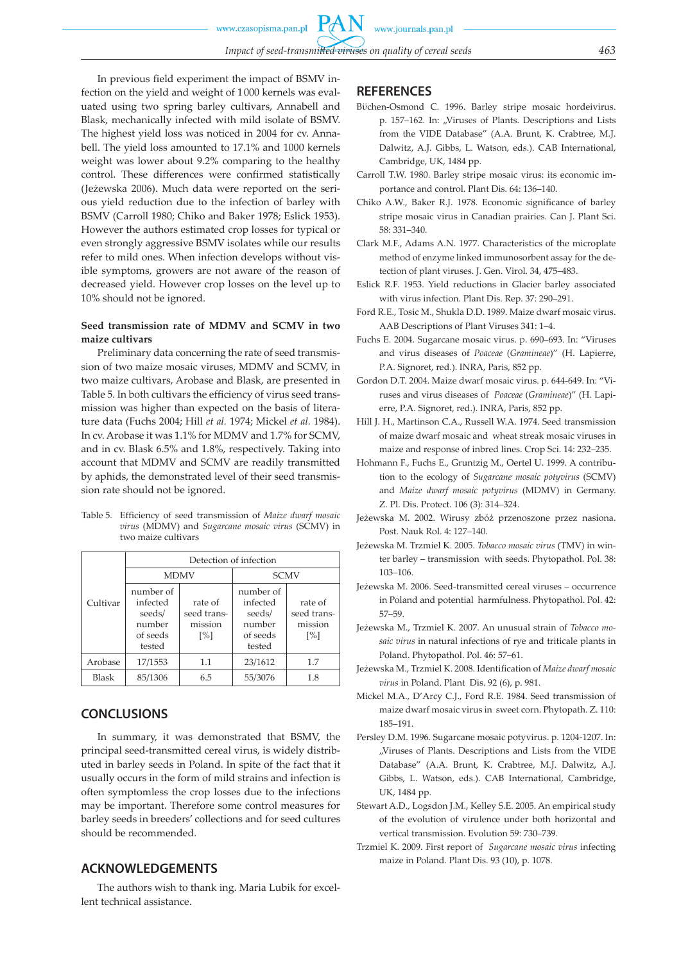In previous field experiment the impact of BSMV infection on the yield and weight of 1 000 kernels was evaluated using two spring barley cultivars, Annabell and Blask, mechanically infected with mild isolate of BSMV. The highest yield loss was noticed in 2004 for cv. Annabell. The yield loss amounted to 17.1% and 1000 kernels weight was lower about 9.2% comparing to the healthy control. These differences were confirmed statistically (Jeżewska 2006). Much data were reported on the serious yield reduction due to the infection of barley with BSMV (Carroll 1980; Chiko and Baker 1978; Eslick 1953). However the authors estimated crop losses for typical or even strongly aggressive BSMV isolates while our results refer to mild ones. When infection develops without visible symptoms, growers are not aware of the reason of decreased yield. However crop losses on the level up to 10% should not be ignored.

### **Seed transmission rate of MDMV and SCMV in two maize cultivars**

Preliminary data concerning the rate of seed transmission of two maize mosaic viruses, MDMV and SCMV, in two maize cultivars, Arobase and Blask, are presented in Table 5. In both cultivars the efficiency of virus seed transmission was higher than expected on the basis of literature data (Fuchs 2004; Hill *et al.* 1974; Mickel *et al.* 1984). In cv. Arobase it was 1.1% for MDMV and 1.7% for SCMV, and in cv. Blask 6.5% and 1.8%, respectively. Taking into account that MDMV and SCMV are readily transmitted by aphids, the demonstrated level of their seed transmission rate should not be ignored.

| Table 5. Efficiency of seed transmission of Maize dwarf mosaic |
|----------------------------------------------------------------|
| virus (MDMV) and Sugarcane mosaic virus (SCMV) in              |
| two maize cultivars                                            |
|                                                                |

|              | Detection of infection                                          |                                                        |                                                                 |                                                        |
|--------------|-----------------------------------------------------------------|--------------------------------------------------------|-----------------------------------------------------------------|--------------------------------------------------------|
|              | <b>MDMV</b>                                                     |                                                        | <b>SCMV</b>                                                     |                                                        |
| Cultivar     | number of<br>infected<br>seeds/<br>number<br>of seeds<br>tested | rate of<br>seed trans-<br>mission<br>$\lceil\% \rceil$ | number of<br>infected<br>seeds/<br>number<br>of seeds<br>tested | rate of<br>seed trans-<br>mission<br>$\lceil\% \rceil$ |
| Arobase      | 17/1553                                                         | 1.1                                                    | 23/1612                                                         | 1.7                                                    |
| <b>Blask</b> | 85/1306                                                         | 6.5                                                    | 55/3076                                                         | 1.8                                                    |

# **CONCLUSIONS**

In summary, it was demonstrated that BSMV, the principal seed-transmitted cereal virus, is widely distributed in barley seeds in Poland. In spite of the fact that it usually occurs in the form of mild strains and infection is often symptomless the crop losses due to the infections may be important. Therefore some control measures for barley seeds in breeders' collections and for seed cultures should be recommended.

# **ACKNOWLEDGEMENTS**

The authors wish to thank ing. Maria Lubik for excellent technical assistance.

### **REFERENCES**

- Bϋchen-Osmond C. 1996. Barley stripe mosaic hordeivirus. p. 157-162. In: "Viruses of Plants. Descriptions and Lists from the VIDE Database" (A.A. Brunt, K. Crabtree, M.J. Dalwitz, A.J. Gibbs, L. Watson, eds.). CAB International, Cambridge, UK, 1484 pp.
- Carroll T.W. 1980. Barley stripe mosaic virus: its economic importance and control. Plant Dis. 64: 136–140.
- Chiko A.W., Baker R.J. 1978. Economic significance of barley stripe mosaic virus in Canadian prairies. Can J. Plant Sci. 58: 331–340.
- Clark M.F., Adams A.N. 1977. Characteristics of the microplate method of enzyme linked immunosorbent assay for the detection of plant viruses. J. Gen. Virol. 34, 475–483.
- Eslick R.F. 1953. Yield reductions in Glacier barley associated with virus infection. Plant Dis. Rep. 37: 290–291.
- Ford R.E., Tosic M., Shukla D.D. 1989. Maize dwarf mosaic virus. AAB Descriptions of Plant Viruses 341: 1–4.
- Fuchs E. 2004. Sugarcane mosaic virus. p. 690–693. In: "Viruses and virus diseases of *Poaceae* (*Gramineae*)" (H. Lapierre, P.A. Signoret, red.). INRA, Paris, 852 pp.
- Gordon D.T. 2004. Maize dwarf mosaic virus. p. 644-649. In: "Viruses and virus diseases of *Poaceae* (*Gramineae*)" (H. Lapierre, P.A. Signoret, red.). INRA, Paris, 852 pp.
- Hill J. H., Martinson C.A., Russell W.A. 1974. Seed transmission of maize dwarf mosaic and wheat streak mosaic viruses in maize and response of inbred lines. Crop Sci. 14: 232–235.
- Hohmann F., Fuchs E., Gruntzig M., Oertel U. 1999. A contribution to the ecology of *Sugarcane mosaic potyvirus* (SCMV) and *Maize dwarf mosaic potyvirus* (MDMV) in Germany. Z. Pl. Dis. Protect. 106 (3): 314–324.
- Jeżewska M. 2002. Wirusy zbóż przenoszone przez nasiona. Post. Nauk Rol. 4: 127–140.
- Jeżewska M. Trzmiel K. 2005. *Tobacco mosaic virus* (TMV) in winter barley – transmission with seeds. Phytopathol. Pol. 38: 103–106.
- Jeżewska M. 2006. Seed-transmitted cereal viruses occurrence in Poland and potential harmfulness. Phytopathol. Pol. 42: 57–59.
- Jeżewska M., Trzmiel K. 2007. An unusual strain of *Tobacco mosaic virus* in natural infections of rye and triticale plants in Poland. Phytopathol. Pol. 46: 57–61.
- Jeżewska M., Trzmiel K. 2008. Identification of *Maize dwarf mosaic virus* in Poland. Plant Dis. 92 (6), p. 981.
- Mickel M.A., D'Arcy C.J., Ford R.E. 1984. Seed transmission of maize dwarf mosaic virus in sweet corn. Phytopath. Z. 110: 185–191.
- Persley D.M. 1996. Sugarcane mosaic potyvirus. p. 1204-1207. In: "Viruses of Plants. Descriptions and Lists from the VIDE Database" (A.A. Brunt, K. Crabtree, M.J. Dalwitz, A.J. Gibbs, L. Watson, eds.). CAB International, Cambridge, UK, 1484 pp.
- Stewart A.D., Logsdon J.M., Kelley S.E. 2005. An empirical study of the evolution of virulence under both horizontal and vertical transmission. Evolution 59: 730–739.
- Trzmiel K. 2009. First report of *Sugarcane mosaic virus* infecting maize in Poland. Plant Dis. 93 (10), p. 1078.